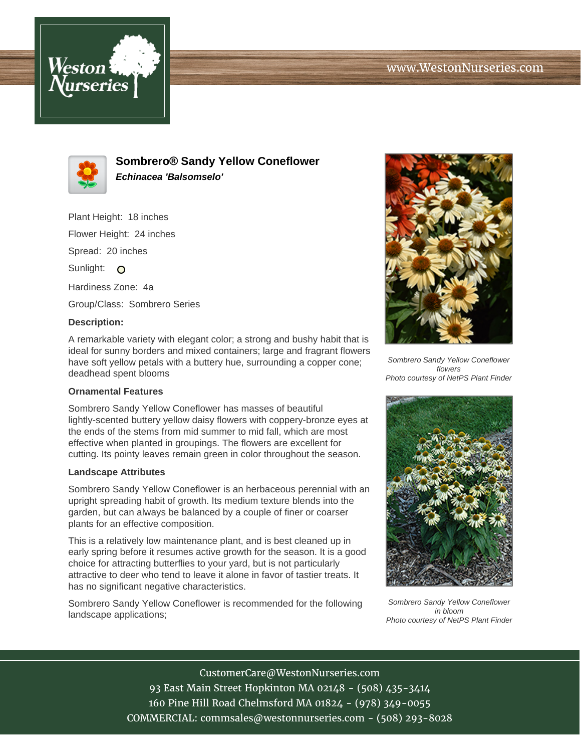



**Sombrero® Sandy Yellow Coneflower Echinacea 'Balsomselo'**

Plant Height: 18 inches Flower Height: 24 inches Spread: 20 inches Sunlight: O Hardiness Zone: 4a Group/Class: Sombrero Series

## **Description:**

A remarkable variety with elegant color; a strong and bushy habit that is ideal for sunny borders and mixed containers; large and fragrant flowers have soft yellow petals with a buttery hue, surrounding a copper cone; deadhead spent blooms

## **Ornamental Features**

Sombrero Sandy Yellow Coneflower has masses of beautiful lightly-scented buttery yellow daisy flowers with coppery-bronze eyes at the ends of the stems from mid summer to mid fall, which are most effective when planted in groupings. The flowers are excellent for cutting. Its pointy leaves remain green in color throughout the season.

## **Landscape Attributes**

Sombrero Sandy Yellow Coneflower is an herbaceous perennial with an upright spreading habit of growth. Its medium texture blends into the garden, but can always be balanced by a couple of finer or coarser plants for an effective composition.

This is a relatively low maintenance plant, and is best cleaned up in early spring before it resumes active growth for the season. It is a good choice for attracting butterflies to your yard, but is not particularly attractive to deer who tend to leave it alone in favor of tastier treats. It has no significant negative characteristics.

Sombrero Sandy Yellow Coneflower is recommended for the following landscape applications;



Sombrero Sandy Yellow Coneflower flowers Photo courtesy of NetPS Plant Finder



Sombrero Sandy Yellow Coneflower in bloom Photo courtesy of NetPS Plant Finder

CustomerCare@WestonNurseries.com 93 East Main Street Hopkinton MA 02148 - (508) 435-3414 160 Pine Hill Road Chelmsford MA 01824 - (978) 349-0055 COMMERCIAL: commsales@westonnurseries.com - (508) 293-8028